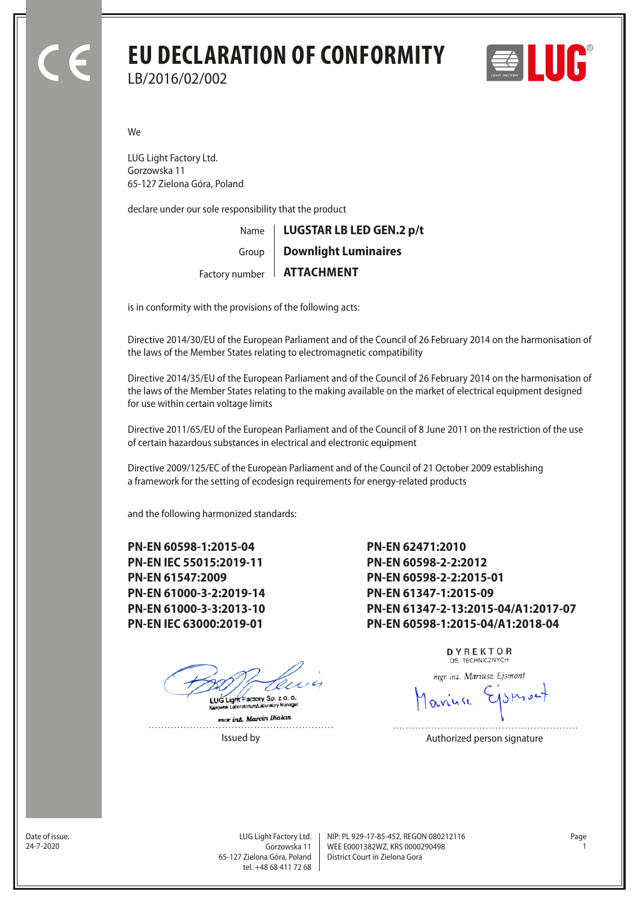## **EU DECLARATION OF CONFORMITY** LB/2016/02/002



We

LUG Light Factory Ltd. Gorzowska 11 65-127 Zielona Góra, Poland

declare under our sole responsibility that the product

Name Factory number **ATTACHMENT** Group **LUGSTAR LB LED GEN.2 p/t Downlight Luminaires**

is in conformity with the provisions of the following acts:

Directive 2014/30/EU of the European Parliament and of the Council of 26 February 2014 on the harmonisation of the laws of the Member States relating to electromagnetic compatibility

Directive 2014/35/EU of the European Parliament and of the Council of 26 February 2014 on the harmonisation of the laws of the Member States relating to the making available on the market of electrical equipment designed for use within certain voltage limits

Directive 2011/65/EU of the European Parliament and of the Council of 8 June 2011 on the restriction of the use of certain hazardous substances in electrical and electronic equipment

Directive 2009/125/EC of the European Parliament and of the Council of 21 October 2009 establishing a framework for the setting of ecodesign requirements for energy-related products

and the following harmonized standards:

**PN-EN 60598-1:2015-04 PN-EN IEC 55015:2019-11 PN-EN 61547:2009 PN-EN 61000-3-2:2019-14 PN-EN 61000-3-3:2013-10 PN-EN IEC 63000:2019-01**

LUG Light Factory Sp. z o. o.

mar inz. Marcin Bialas . . . . . . . . . . . . . . .

**PN-EN 62471:2010 PN-EN 60598-2-2:2012 PN-EN 60598-2-2:2015-01 PN-EN 61347-1:2015-09 PN-EN 61347-2-13:2015-04/A1:2017-07 PN-EN 60598-1:2015-04/A1:2018-04**

> DYREKTOR DS. TECHNICZNYCH

mgr inż. Mariusz Ejsmont

Issued by **Authorized person signature** 

Date of issue:<br>24-7-2020

Gorzowska 11 65-127 Zielona Góra, Poland tel. +48 68 411 72 68

LUG Light Factory Ltd. Page NIP: PL 929-17-85-452, REGON 080212116 WEE E0001382WZ, KRS 0000290498 24-7-2020 1 District Court in Zielona Gora